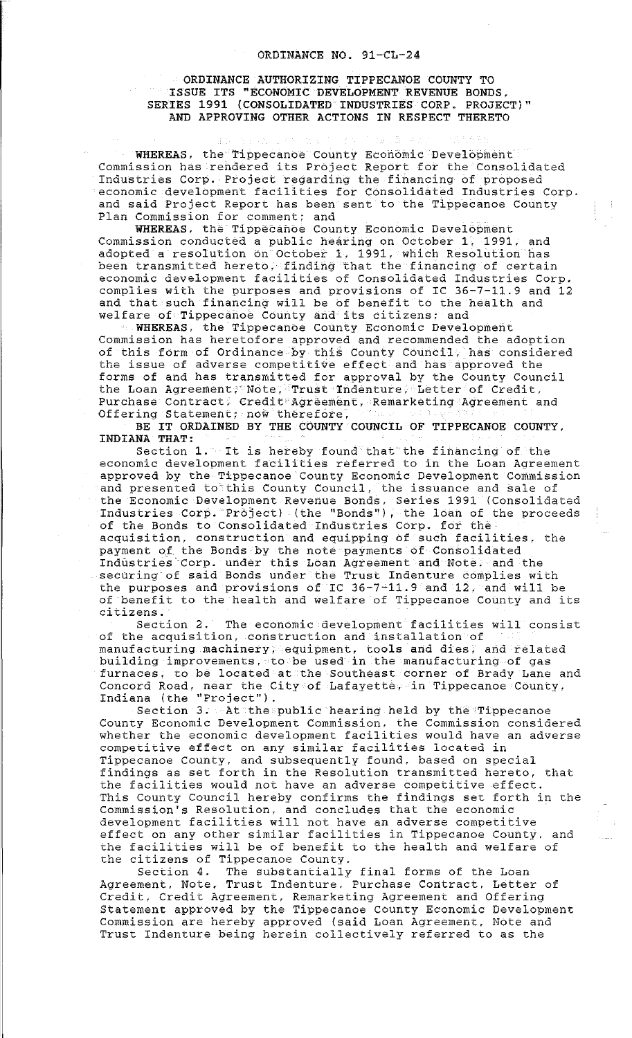## ORDINANCE AUTHORIZING TIPPECANOE COUNTY TO ISSUE ITS "ECONOMIC DEVELOPMENT REVENUE BONDS, SERIES 1991 (CONSOLIDATED INDUSTRIES CORP. PROJECT)" AND APPROVING OTHER ACTIONS IN RESPECT THERETO

WHEREAS, the Tippecanoe County Economic Development Commission has rendered its Project Report for the Consolidated Industries Corp. Project regarding the financing of proposed economic development facilities for Consolidated Industries Corp. and said Project Report has been sent to the Tippecanoe County Plan Commission for comment; and

WHEREAS, the Tippecanoe County Economic Development Commission conducted a public hearing on October 1, 1991, and adopted a resolution on October 1, 1991, which Resolution has been transmitted hereto, finding that the financing of certain economic development facilities of Consolidated Industries Corp. complies with the purposes and provisions of IC 36-7-11.9 and 12 and that such financing will be of benefit to the health and welfare of Tippecanoe County and its citizens; and

WHEREAS, the Tippecanoe County Economic Development Commission has heretofore approved and recommended the adoption of this form of Ordinance by this County Council, has considered the issue of adverse competitive effect and has approved the forms of and has transmitted for approval by the County Council the Loan Agreement; Note, Trust Indenture, Letter of Credit, Purchase Contract; Credit Agreement, Remarketing Agreement and Offering Statement; now therefore,

BE IT ORDAINED BY THE COUNTY COUNCIL OF TIPPECANOE COUNTY, INDIANA THAT:

Section 1. It is hereby found that the financing of the **economic development facilities referred to in the Loan Agreement**  approved by the Tippecanoe County Economic Development Commission and presented to this County Council, the issuance and sale of the Economic Development Revenue Bonds, Series 1991 (Consolidated Industries Corp. Project) (the "Bonds"), the loan of the proceeds of the Bonds to Consolidated Industries Corp. for the acquisition, construction and equipping of such facilities, the payment of the Bonds by the note payments of Consolidated Industries Corp. under this Loan Agreement and Note, and the securing of said Bonds under the Trust Indenture complies with the purposes and provisions of IC 36-7-11.9 and 12, and will be of benefit to the health and welfare of Tippecanoe County and its **citizens.** 

The economic development facilities will consist of the acquisition, construction and installation of manufacturing machinery, equipment, tools and dies, and related building improvements, to be used in the manufacturing of gas furnaces, to be located at the Southeast corner of Brady Lane and Concord Road, near the City of Lafayette, in Tippecanoe County, **Indiana (the <sup>1</sup> 'Project <sup>1</sup> ').** 

Section 3. At the public hearing held by the Tippecanoe County Economic Development Commission, the Commission considered whether the economic development facilities would have an adverse competitive effect on any similar facilities located in Tippecanoe County, and subsequently found, based on special findings as set forth in the Resolution transmitted hereto, that the facilities would not have an adverse competitive effect. This County Council hereby confirms the findings set forth in the Commission's Resolution, and concludes that the economic development facilities will not have an adverse competitive effect on any other similar facilities in Tippecanoe County. and the facilities will be of benefit to the health and welfare of the citizens of Tippecanoe County.<br>Section 4. The substantially

The substantially final forms of the Loan Agreement, Note, Trust Indenture. Purchase Contract, Letter of Credit, Credit Agreement, Remarketing Agreement and Offering Statement approved by the Tippecanoe County Economic Development Commission are hereby approved (said Loan Agreement, Note and Trust Indenture being herein collectively referred to as the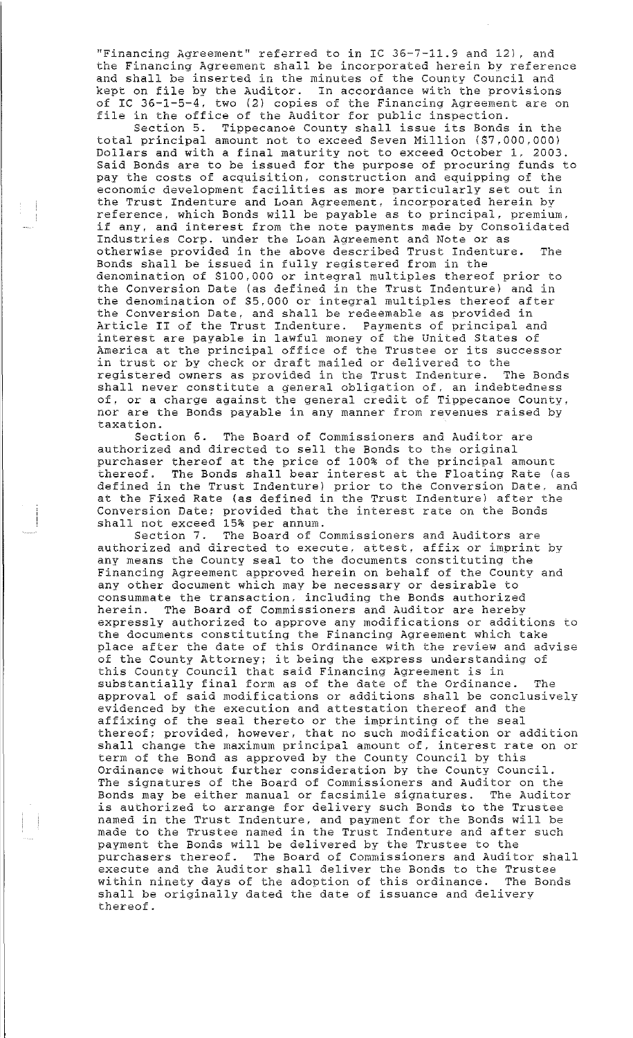"Financing Agreement" referred to in IC 36-7-11.9 and 12), and **the Financing Agreement shall be incorporated herein by reference**  and shall be inserted in the minutes of the County Council and kept on file by the Auditor. In accordance with the provisions of IC 36-1-5-4, two (2) copies of the Financing Agreement are on file in the office of the Auditor for public inspection.

Section 5. Tippecanoe County shall issue its Bonds in the total principal amount not to exceed Seven Million (\$7,000,000) Dollars and with a final maturity not to exceed October l, 2003. Said Bonds are to be issued for the purpose of procuring funds to pay the costs of acquisition, construction and equipping of the economic development facilities as more particularly set out in the Trust Indenture and Loan Agreement, incorporated herein by reference, which Bonds will be payable as to principal, premium. if any, and interest from the note payments made by Consolidated Industries Corp. under the Loan Agreement and Note or as otherwise provided in the above described Trust Indenture. The Bonds shall be issued in fully registered from in the denomination of \$100,000 or integral multiples thereof prior to the Conversion Date (as defined in the Trust Indenture) and in the denomination of \$5,000 or integral multiples thereof after the Conversion Date, and shall be redeemable as provided in and conversion successional and secondary as grovings in interest are payable in lawful money of the United States of **America at the principal office of the Trustee or its successor**  in trust or by check or draft mailed or delivered to the registered owners as provided in the Trust Indenture. The Bonds shall never constitute a general obligation of. an indebtedness of, or a charge against the general credit of Tippecanoe County, nor are the Bonds payable in any manner from revenues raised by taxation.

Section 6. The Board of Commissioners and Auditor are authorized and directed to sell the Bonds to the original purchaser thereof at the price of 100% of the principal amount thereof. The Bonds shall bear interest at the Floating Rate (as defined in the Trust Indenture) prior to the Conversion Date. and at the Fixed Rate (as defined in the Trust Indenture) after the Conversion Date; provided that the interest rate on the Bonds shall not exceed 15% per annum.

**Section 7. The Board of Commissioners and Auditors are**  authorized and directed to execute. attest, affix or imprint by any means the County seal to the documents constituting the Financing Agreement approved herein on behalf of the County and any other document which may be necessary or desirable to consummate the transaction, including the Bonds authorized herein. The Board of Commissioners and Auditor are hereby expressly authorized to approve any modifications or additions to the documents constituting the Financing Agreement which take place after the date of this Ordinance with the review and advise **of the County Attorney; it being the express understanding of**  of the County Hotomay, it sting the emprose understanding substantially final form as of the date of the Ordinance. The approval of said modifications or additions shall be conclusively evidenced by the execution and attestation thereof and the affixing of the seal thereto or the imprinting of the seal thereof; provided, however, that no such modification or addition **shall change the maximum principal amount of, interest rate on or**  term of the Bond as approved by the County Council by this Ordinance without further consideration by the County Council. The signatures of the Board of Commissioners and Auditor on the Bonds may be either manual or facsimile signatures. The Auditor is authorized to arrange for delivery such Bonds to the Trustee named in the Trust Indenture, and payment for the Bonds will be mande in the Trust Indenture, and payment for the Bends with Se payment the Bonds will be delivered by the Trustee to the purchasers thereof. The Board of Commissioners and Auditor shall execute and the Auditor shall deliver the Bonds to the Trustee within ninety days of the adoption of this ordinance. The Bonds within ninety days of the adoption of this ordinance. The Bonds shall be originally dated the date of issuance and delivery thereof.